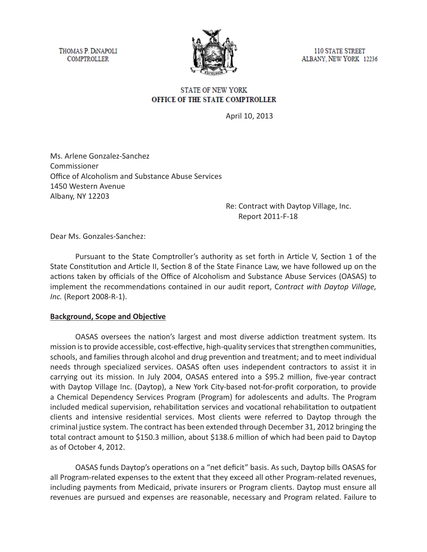THOMAS P. DINAPOLI **COMPTROLLER** 



**110 STATE STREET** ALBANY, NEW YORK 12236

## **STATE OF NEW YORK** OFFICE OF THE STATE COMPTROLLER

April 10, 2013

Ms. Arlene Gonzalez-Sanchez Commissioner Office of Alcoholism and Substance Abuse Services 1450 Western Avenue Albany, NY 12203

Re: Contract with Daytop Village, Inc. Report 2011-F-18

Dear Ms. Gonzales-Sanchez:

Pursuant to the State Comptroller's authority as set forth in Article V, Section 1 of the State Constitution and Article II, Section 8 of the State Finance Law, we have followed up on the actions taken by officials of the Office of Alcoholism and Substance Abuse Services (OASAS) to implement the recommendations contained in our audit report, C*ontract with Daytop Village, Inc.* (Report 2008-R-1).

## **Background, Scope and Objective**

OASAS oversees the nation's largest and most diverse addiction treatment system. Its mission is to provide accessible, cost-effective, high-quality services that strengthen communities, schools, and families through alcohol and drug prevention and treatment; and to meet individual needs through specialized services. OASAS often uses independent contractors to assist it in carrying out its mission. In July 2004, OASAS entered into a \$95.2 million, five-year contract with Daytop Village Inc. (Daytop), a New York City-based not-for-profit corporation, to provide a Chemical Dependency Services Program (Program) for adolescents and adults. The Program included medical supervision, rehabilitation services and vocational rehabilitation to outpatient clients and intensive residential services. Most clients were referred to Daytop through the criminal justice system. The contract has been extended through December 31, 2012 bringing the total contract amount to \$150.3 million, about \$138.6 million of which had been paid to Daytop as of October 4, 2012.

OASAS funds Daytop's operations on a "net deficit" basis. As such, Daytop bills OASAS for all Program-related expenses to the extent that they exceed all other Program-related revenues, including payments from Medicaid, private insurers or Program clients. Daytop must ensure all revenues are pursued and expenses are reasonable, necessary and Program related. Failure to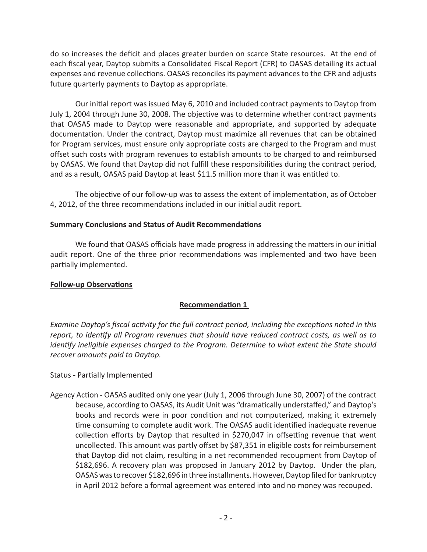do so increases the deficit and places greater burden on scarce State resources. At the end of each fiscal year, Daytop submits a Consolidated Fiscal Report (CFR) to OASAS detailing its actual expenses and revenue collections. OASAS reconciles its payment advances to the CFR and adjusts future quarterly payments to Daytop as appropriate.

Our initial report was issued May 6, 2010 and included contract payments to Daytop from July 1, 2004 through June 30, 2008. The objective was to determine whether contract payments that OASAS made to Daytop were reasonable and appropriate, and supported by adequate documentation. Under the contract, Daytop must maximize all revenues that can be obtained for Program services, must ensure only appropriate costs are charged to the Program and must offset such costs with program revenues to establish amounts to be charged to and reimbursed by OASAS. We found that Daytop did not fulfill these responsibilities during the contract period, and as a result, OASAS paid Daytop at least \$11.5 million more than it was entitled to.

The objective of our follow-up was to assess the extent of implementation, as of October 4, 2012, of the three recommendations included in our initial audit report.

# **Summary Conclusions and Status of Audit Recommendations**

We found that OASAS officials have made progress in addressing the matters in our initial audit report. One of the three prior recommendations was implemented and two have been partially implemented.

## **Follow-up Observations**

# **Recommendation 1**

*Examine Daytop's fiscal activity for the full contract period, including the exceptions noted in this report, to identify all Program revenues that should have reduced contract costs, as well as to identify ineligible expenses charged to the Program. Determine to what extent the State should recover amounts paid to Daytop.* 

Status - Partially Implemented

Agency Action - OASAS audited only one year (July 1, 2006 through June 30, 2007) of the contract because, according to OASAS, its Audit Unit was "dramatically understaffed," and Daytop's books and records were in poor condition and not computerized, making it extremely time consuming to complete audit work. The OASAS audit identified inadequate revenue collection efforts by Daytop that resulted in \$270,047 in offsetting revenue that went uncollected. This amount was partly offset by \$87,351 in eligible costs for reimbursement that Daytop did not claim, resulting in a net recommended recoupment from Daytop of \$182,696. A recovery plan was proposed in January 2012 by Daytop. Under the plan, OASAS was to recover \$182,696 in three installments. However, Daytop filed for bankruptcy in April 2012 before a formal agreement was entered into and no money was recouped.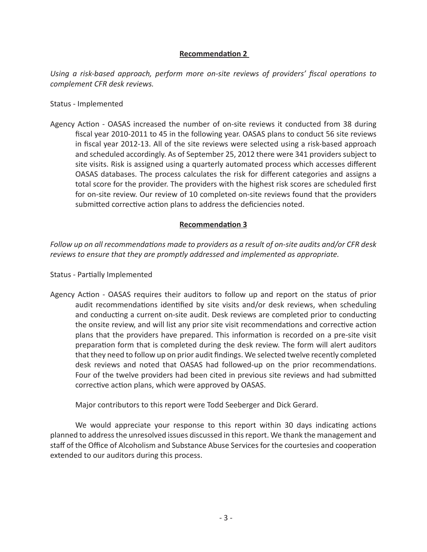# **Recommendation 2**

*Using a risk-based approach, perform more on-site reviews of providers' fiscal operations to complement CFR desk reviews.* 

#### Status - Implemented

Agency Action - OASAS increased the number of on-site reviews it conducted from 38 during fiscal year 2010-2011 to 45 in the following year. OASAS plans to conduct 56 site reviews in fiscal year 2012-13. All of the site reviews were selected using a risk-based approach and scheduled accordingly. As of September 25, 2012 there were 341 providers subject to site visits. Risk is assigned using a quarterly automated process which accesses different OASAS databases. The process calculates the risk for different categories and assigns a total score for the provider. The providers with the highest risk scores are scheduled first for on-site review. Our review of 10 completed on-site reviews found that the providers submitted corrective action plans to address the deficiencies noted.

## **Recommendation 3**

*Follow up on all recommendations made to providers as a result of on-site audits and/or CFR desk reviews to ensure that they are promptly addressed and implemented as appropriate.* 

Status - Partially Implemented

Agency Action - OASAS requires their auditors to follow up and report on the status of prior audit recommendations identified by site visits and/or desk reviews, when scheduling and conducting a current on-site audit. Desk reviews are completed prior to conducting the onsite review, and will list any prior site visit recommendations and corrective action plans that the providers have prepared. This information is recorded on a pre-site visit preparation form that is completed during the desk review. The form will alert auditors that they need to follow up on prior audit findings. We selected twelve recently completed desk reviews and noted that OASAS had followed-up on the prior recommendations. Four of the twelve providers had been cited in previous site reviews and had submitted corrective action plans, which were approved by OASAS.

Major contributors to this report were Todd Seeberger and Dick Gerard.

We would appreciate your response to this report within 30 days indicating actions planned to address the unresolved issues discussed in this report. We thank the management and staff of the Office of Alcoholism and Substance Abuse Services for the courtesies and cooperation extended to our auditors during this process.